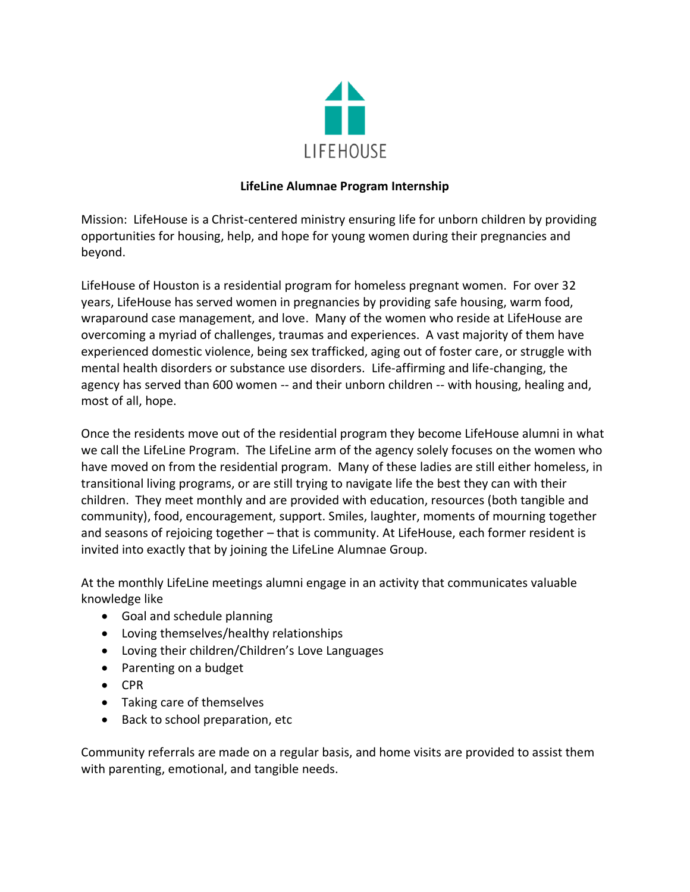

## **LifeLine Alumnae Program Internship**

Mission: LifeHouse is a Christ-centered ministry ensuring life for unborn children by providing opportunities for housing, help, and hope for young women during their pregnancies and beyond.

LifeHouse of Houston is a residential program for homeless pregnant women. For over 32 years, LifeHouse has served women in pregnancies by providing safe housing, warm food, wraparound case management, and love. Many of the women who reside at LifeHouse are overcoming a myriad of challenges, traumas and experiences. A vast majority of them have experienced domestic violence, being sex trafficked, aging out of foster care, or struggle with mental health disorders or substance use disorders. Life-affirming and life-changing, the agency has served than 600 women -- and their unborn children -- with housing, healing and, most of all, hope.

Once the residents move out of the residential program they become LifeHouse alumni in what we call the LifeLine Program. The LifeLine arm of the agency solely focuses on the women who have moved on from the residential program. Many of these ladies are still either homeless, in transitional living programs, or are still trying to navigate life the best they can with their children. They meet monthly and are provided with education, resources (both tangible and community), food, encouragement, support. Smiles, laughter, moments of mourning together and seasons of rejoicing together – that is community. At LifeHouse, each former resident is invited into exactly that by joining the LifeLine Alumnae Group.

At the monthly LifeLine meetings alumni engage in an activity that communicates valuable knowledge like

- Goal and schedule planning
- Loving themselves/healthy relationships
- Loving their children/Children's Love Languages
- Parenting on a budget
- CPR
- Taking care of themselves
- Back to school preparation, etc

Community referrals are made on a regular basis, and home visits are provided to assist them with parenting, emotional, and tangible needs.